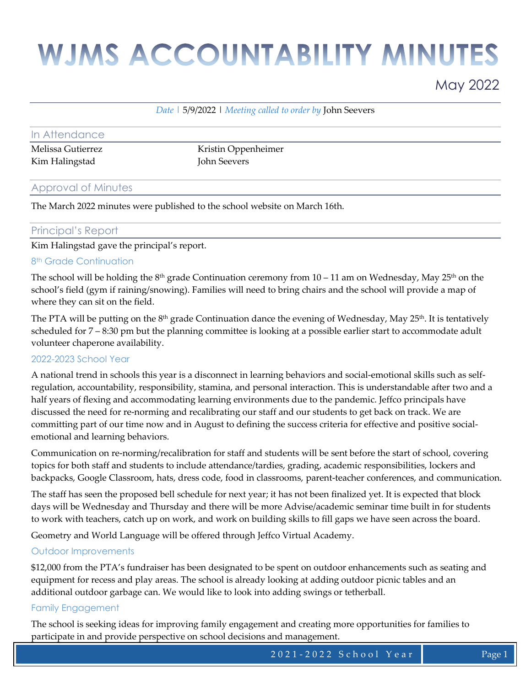# **WJMS ACCOUNTABILITY MINUTES**

### May 2022

#### *Date |* 5/9/2022 | *Meeting called to order by* John Seevers

| In Attendance     |                     |
|-------------------|---------------------|
| Melissa Gutierrez | Kristin Oppenheimer |
| Kim Halingstad    | John Seevers        |

#### Approval of Minutes

The March 2022 minutes were published to the school website on March 16th.

#### Principal's Report

Kim Halingstad gave the principal's report.

#### 8<sup>th</sup> Grade Continuation

The school will be holding the 8<sup>th</sup> grade Continuation ceremony from  $10 - 11$  am on Wednesday, May 25<sup>th</sup> on the school's field (gym if raining/snowing). Families will need to bring chairs and the school will provide a map of where they can sit on the field.

The PTA will be putting on the 8<sup>th</sup> grade Continuation dance the evening of Wednesday, May 25<sup>th</sup>. It is tentatively scheduled for 7 – 8:30 pm but the planning committee is looking at a possible earlier start to accommodate adult volunteer chaperone availability.

#### 2022-2023 School Year

A national trend in schools this year is a disconnect in learning behaviors and social-emotional skills such as selfregulation, accountability, responsibility, stamina, and personal interaction. This is understandable after two and a half years of flexing and accommodating learning environments due to the pandemic. Jeffco principals have discussed the need for re-norming and recalibrating our staff and our students to get back on track. We are committing part of our time now and in August to defining the success criteria for effective and positive socialemotional and learning behaviors.

Communication on re-norming/recalibration for staff and students will be sent before the start of school, covering topics for both staff and students to include attendance/tardies, grading, academic responsibilities, lockers and backpacks, Google Classroom, hats, dress code, food in classrooms, parent-teacher conferences, and communication.

The staff has seen the proposed bell schedule for next year; it has not been finalized yet. It is expected that block days will be Wednesday and Thursday and there will be more Advise/academic seminar time built in for students to work with teachers, catch up on work, and work on building skills to fill gaps we have seen across the board.

Geometry and World Language will be offered through Jeffco Virtual Academy.

#### Outdoor Improvements

\$12,000 from the PTA's fundraiser has been designated to be spent on outdoor enhancements such as seating and equipment for recess and play areas. The school is already looking at adding outdoor picnic tables and an additional outdoor garbage can. We would like to look into adding swings or tetherball.

#### Family Engagement

The school is seeking ideas for improving family engagement and creating more opportunities for families to participate in and provide perspective on school decisions and management.